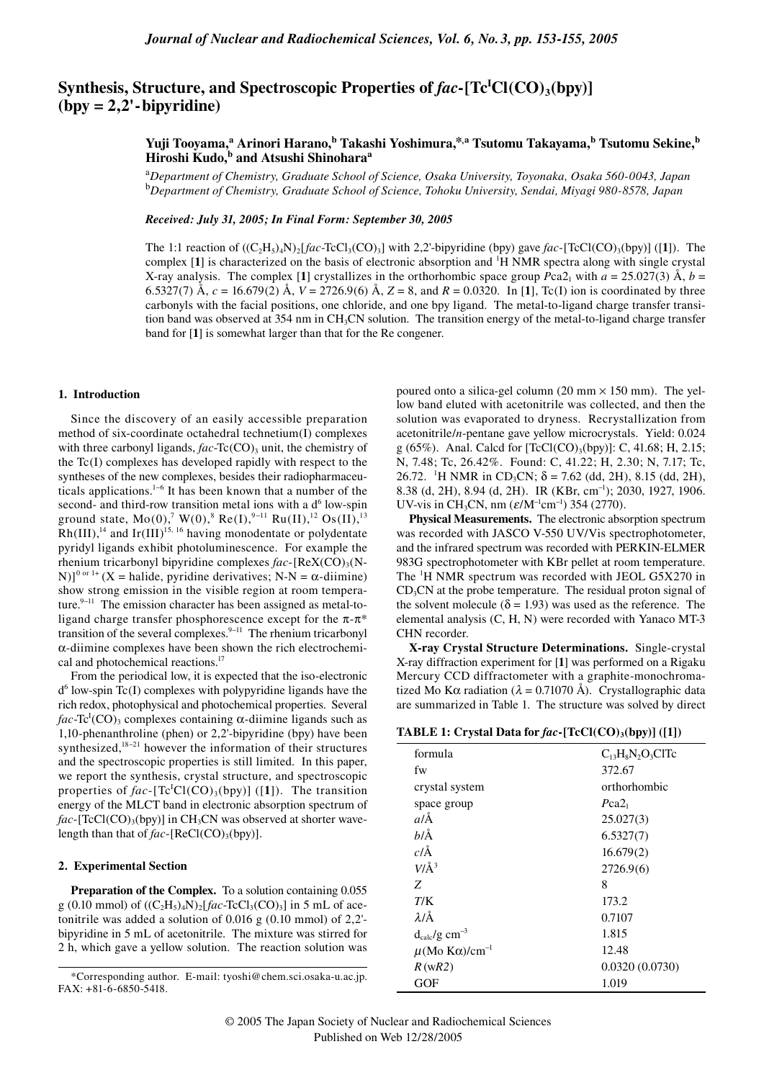# Synthesis, Structure, and Spectroscopic Properties of  $fac$ -[Tc<sup>I</sup>Cl(CO)<sub>3</sub>(bpy)] **(bpy = 2,2'-bipyridine)**

# **Yuji Tooyama,<sup>a</sup> Arinori Harano,b Takashi Yoshimura,\*,a Tsutomu Takayama,b Tsutomu Sekine,b Hiroshi Kudo,b and Atsushi Shinoharaa**

a *Department of Chemistry, Graduate School of Science, Osaka University, Toyonaka, Osaka 560-0043, Japan* b *Department of Chemistry, Graduate School of Science, Tohoku University, Sendai, Miyagi 980-8578, Japan*

*Received: July 31, 2005; In Final Form: September 30, 2005*

The 1:1 reaction of  $((C_2H_3)_4N)_2$  *fac*-TcCl<sub>3</sub>(CO)<sub>3</sub>] with 2,2'-bipyridine (bpy) gave *fac*-[TcCl(CO)<sub>3</sub>(bpy)] ([1]). The complex [1] is characterized on the basis of electronic absorption and <sup>1</sup>H NMR spectra along with single crystal X-ray analysis. The complex [1] crystallizes in the orthorhombic space group *P*ca2<sub>1</sub> with  $a = 25.027(3)$  Å,  $b =$ 6.5327(7) Å,  $c = 16.679(2)$  Å,  $V = 2726.9(6)$  Å,  $Z = 8$ , and  $R = 0.0320$ . In [1], Tc(I) ion is coordinated by three carbonyls with the facial positions, one chloride, and one bpy ligand. The metal-to-ligand charge transfer transition band was observed at 354 nm in CH<sub>3</sub>CN solution. The transition energy of the metal-to-ligand charge transfer band for [**1**] is somewhat larger than that for the Re congener.

#### **1. Introduction**

Since the discovery of an easily accessible preparation method of six-coordinate octahedral technetium(I) complexes with three carbonyl ligands, *fac*-Tc(CO)<sub>3</sub> unit, the chemistry of the Tc(I) complexes has developed rapidly with respect to the syntheses of the new complexes, besides their radiopharmaceuticals applications.<sup>1–6</sup> It has been known that a number of the second- and third-row transition metal ions with a  $d<sup>6</sup>$  low-spin ground state,  $Mo(0), \sqrt{7} W(0), \sqrt{8} \text{Re}(I), \sqrt{9}-11 \text{Ru}(II), \sqrt{12} \text{Os}(II), \sqrt{13} \text{Os}(II)$  $Rh(III)$ ,<sup>14</sup> and Ir(III)<sup>15, 16</sup> having monodentate or polydentate pyridyl ligands exhibit photoluminescence. For example the rhenium tricarbonyl bipyridine complexes  $fac$ -[ReX(CO)<sub>3</sub>(N-N)]<sup>0 or 1+</sup> (X = halide, pyridine derivatives; N-N =  $\alpha$ -diimine) show strong emission in the visible region at room temperature. $9-11$  The emission character has been assigned as metal-toligand charge transfer phosphorescence except for the  $\pi$ - $\pi$ <sup>\*</sup> transition of the several complexes. $9-11$  The rhenium tricarbonyl α-diimine complexes have been shown the rich electrochemical and photochemical reactions.<sup>17</sup>

From the periodical low, it is expected that the iso-electronic  $d<sup>6</sup>$  low-spin Tc(I) complexes with polypyridine ligands have the rich redox, photophysical and photochemical properties. Several  $fac$ -Tc<sup>I</sup>(CO)<sub>3</sub> complexes containing  $\alpha$ -diimine ligands such as 1,10-phenanthroline (phen) or 2,2'-bipyridine (bpy) have been synthesized,<sup>18−21</sup> however the information of their structures and the spectroscopic properties is still limited. In this paper, we report the synthesis, crystal structure, and spectroscopic properties of  $fac$ -[Tc<sup>I</sup>Cl(CO)<sub>3</sub>(bpy)] ([1]). The transition energy of the MLCT band in electronic absorption spectrum of fac-[TcCl(CO)<sub>3</sub>(bpy)] in CH<sub>3</sub>CN was observed at shorter wavelength than that of *fac*-[ReCl(CO)<sub>3</sub>(bpy)].

## **2. Experimental Section**

Preparation of the Complex. To a solution containing 0.055 g (0.10 mmol) of  $((C_2H_5)_4N)_2[fac-TCCI_3(CO)_3]$  in 5 mL of acetonitrile was added a solution of 0.016 g (0.10 mmol) of 2,2' bipyridine in 5 mL of acetonitrile. The mixture was stirred for 2 h, which gave a yellow solution. The reaction solution was

poured onto a silica-gel column (20 mm  $\times$  150 mm). The yellow band eluted with acetonitrile was collected, and then the solution was evaporated to dryness. Recrystallization from acetonitrile/*n*-pentane gave yellow microcrystals. Yield: 0.024 g (65%). Anal. Calcd for  $[TeCl(CO)<sub>3</sub>(bpy)]$ : C, 41.68; H, 2.15; N, 7.48; Tc, 26.42%. Found: C, 41.22; H, 2.30; N, 7.17; Tc, 26.72. <sup>1</sup>H NMR in CD<sub>3</sub>CN;  $\delta$  = 7.62 (dd, 2H), 8.15 (dd, 2H), 8.38 (d, 2H), 8.94 (d, 2H). IR (KBr, cm<sup>-1</sup>); 2030, 1927, 1906. UV-vis in CH<sub>3</sub>CN, nm ( $\varepsilon$ /M<sup>-1</sup>cm<sup>-1</sup>) 354 (2770).

**Physical Measurements.** The electronic absorption spectrum was recorded with JASCO V-550 UV/Vis spectrophotometer, and the infrared spectrum was recorded with PERKIN-ELMER 983G spectrophotometer with KBr pellet at room temperature. The <sup>1</sup>H NMR spectrum was recorded with JEOL G5X270 in CD3CN at the probe temperature. The residual proton signal of the solvent molecule ( $\delta$  = 1.93) was used as the reference. The elemental analysis (C, H, N) were recorded with Yanaco MT-3 CHN recorder.

**X-ray Crystal Structure Determinations.** Single-crystal X-ray diffraction experiment for [**1**] was performed on a Rigaku Mercury CCD diffractometer with a graphite-monochromatized Mo K $\alpha$  radiation ( $\lambda = 0.71070$  Å). Crystallographic data are summarized in Table 1. The structure was solved by direct

**TABLE 1: Crystal Data for**  $fac$ **-[TcCl(CO)<sub>3</sub>(bpy)] ([1])** 

| formula                                 | $C_{13}H_8N_2O_3CITc$ |
|-----------------------------------------|-----------------------|
| fw                                      | 372.67                |
| crystal system                          | orthorhombic          |
| space group                             | Pca2 <sub>1</sub>     |
| $a/\text{\AA}$                          | 25.027(3)             |
| blÅ                                     | 6.5327(7)             |
| $c/\text{\AA}$                          | 16.679(2)             |
| $V/\AA$ <sup>3</sup>                    | 2726.9(6)             |
| Z                                       | 8                     |
| T/K                                     | 173.2                 |
| $\lambda/\text{\AA}$                    | 0.7107                |
| $d_{calc}/g$ cm <sup>-3</sup>           | 1.815                 |
| $\mu$ (Mo K $\alpha$ )/cm <sup>-1</sup> | 12.48                 |
| R(wR2)                                  | 0.0320(0.0730)        |
| GOF                                     | 1.019                 |

<sup>\*</sup>Corresponding author. E-mail: tyoshi@chem.sci.osaka-u.ac.jp. FAX: +81-6-6850-5418.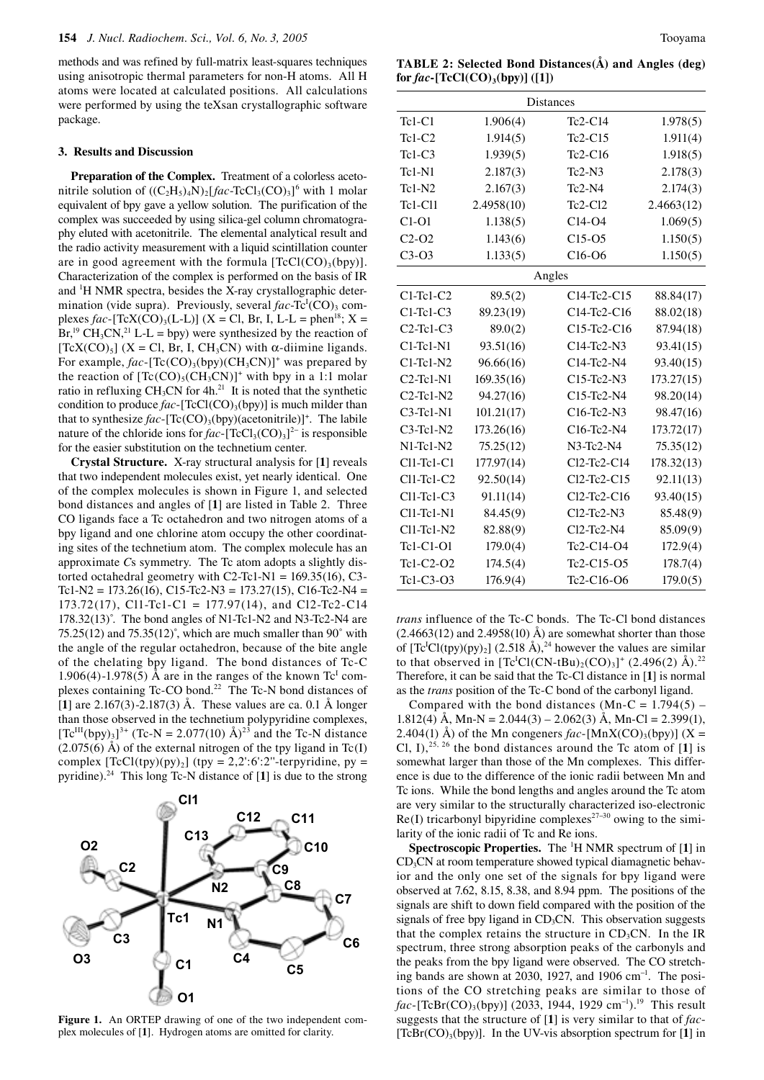methods and was refined by full-matrix least-squares techniques using anisotropic thermal parameters for non-H atoms. All H atoms were located at calculated positions. All calculations were performed by using the teXsan crystallographic software package.

### **3. Results and Discussion**

**Preparation of the Complex.** Treatment of a colorless acetonitrile solution of  $((C_2H_5)_4N)_2[fac-TCC1_3(CO)_3]^6$  with 1 molar equivalent of bpy gave a yellow solution. The purification of the complex was succeeded by using silica-gel column chromatography eluted with acetonitrile. The elemental analytical result and the radio activity measurement with a liquid scintillation counter are in good agreement with the formula  $[TeCl(CO)_{3}(bpy)].$ Characterization of the complex is performed on the basis of IR and <sup>1</sup>H NMR spectra, besides the X-ray crystallographic determination (vide supra). Previously, several *fac*-Tc<sup>I</sup>(CO)<sub>3</sub> complexes *fac*-[TcX(CO)<sub>3</sub>(L-L)] (X = Cl, Br, I, L-L = phen<sup>18</sup>; X =  $Br<sup>19</sup>CH<sub>3</sub>CN<sup>21</sup> L-L = bpy$  were synthesized by the reaction of  $[TcX(CO)<sub>5</sub>]$  (X = Cl, Br, I, CH<sub>3</sub>CN) with  $\alpha$ -diimine ligands. For example,  $fac$ -[Tc(CO)<sub>3</sub>(bpy)(CH<sub>3</sub>CN)]<sup>+</sup> was prepared by the reaction of  $[Te(CO)_{5}(CH_{3}CN)]^{+}$  with bpy in a 1:1 molar ratio in refluxing CH<sub>3</sub>CN for  $4h$ <sup>21</sup> It is noted that the synthetic condition to produce  $fac$ -[TcCl(CO)<sub>3</sub>(bpy)] is much milder than that to synthesize *fac*-[Tc(CO)<sub>3</sub>(bpy)(acetonitrile)]<sup>+</sup>. The labile nature of the chloride ions for  $fac$ -[TcCl<sub>3</sub>(CO)<sub>3</sub>]<sup>2-</sup> is responsible for the easier substitution on the technetium center.

**Crystal Structure.** X-ray structural analysis for [**1**] reveals that two independent molecules exist, yet nearly identical. One of the complex molecules is shown in Figure 1, and selected bond distances and angles of [**1**] are listed in Table 2. Three CO ligands face a Tc octahedron and two nitrogen atoms of a bpy ligand and one chlorine atom occupy the other coordinating sites of the technetium atom. The complex molecule has an approximate *C*s symmetry. The Tc atom adopts a slightly distorted octahedral geometry with  $C2-Tc1-N1 = 169.35(16)$ , C3-Tc1-N2 =  $173.26(16)$ , C15-Tc2-N3 =  $173.27(15)$ , C16-Tc2-N4 = 173.72(17), Cl1-Tc1-C1 = 177.97(14), and Cl2-Tc2-C14  $178.32(13)$ °. The bond angles of N1-Tc1-N2 and N3-Tc2-N4 are  $75.25(12)$  and  $75.35(12)$ °, which are much smaller than  $90^\circ$  with the angle of the regular octahedron, because of the bite angle of the chelating bpy ligand. The bond distances of Tc-C 1.906(4)-1.978(5) Å are in the ranges of the known  $Tc<sup>I</sup>$  complexes containing Tc-CO bond.<sup>22</sup> The Tc-N bond distances of [**1**] are 2.167(3)-2.187(3) Å. These values are ca. 0.1 Å longer than those observed in the technetium polypyridine complexes,  $[{\rm Te}^{\rm III}({\rm bpy})_3]^{3+}$  (Tc-N = 2.077(10) Å)<sup>23</sup> and the Tc-N distance  $(2.075(6)$  Å) of the external nitrogen of the tpy ligand in Tc(I) complex  $[TCl(tpy)(py)_2]$  (tpy = 2,2':6':2"-terpyridine, py = pyridine).24 This long Tc-N distance of [**1**] is due to the strong



**Figure 1.** An ORTEP drawing of one of the two independent complex molecules of [**1**]. Hydrogen atoms are omitted for clarity.

**TABLE 2: Selected Bond Distances(Å) and Angles (deg)**   $for fac$  [TcCl(CO)<sub>3</sub>(bpy)] ([1])

| <b>Distances</b> |            |                 |            |  |
|------------------|------------|-----------------|------------|--|
| $Tc1-C1$         | 1.906(4)   | $Tc2-C14$       | 1.978(5)   |  |
| $Tc1-C2$         | 1.914(5)   | $Tc2-C15$       | 1.911(4)   |  |
| $Tc1-C3$         | 1.939(5)   | Tc2-C16         | 1.918(5)   |  |
| $Tc1-N1$         | 2.187(3)   | $Tc2-N3$        | 2.178(3)   |  |
| $Tc1-N2$         | 2.167(3)   | $Tc2-N4$        | 2.174(3)   |  |
| <b>Tc1-C11</b>   | 2.4958(10) | Tc2-Cl2         | 2.4663(12) |  |
| $C1-O1$          | 1.138(5)   | $C14-O4$        | 1.069(5)   |  |
| $C2-O2$          | 1.143(6)   | $C15-O5$        | 1.150(5)   |  |
| $C3-O3$          | 1.133(5)   | $C16-06$        | 1.150(5)   |  |
| Angles           |            |                 |            |  |
| $C1-Tc1-C2$      | 89.5(2)    | $C14-Tc2-C15$   | 88.84(17)  |  |
| $C1-Tc1-C3$      | 89.23(19)  | $C14-Tc2-C16$   | 88.02(18)  |  |
| $C2-Tc1-C3$      | 89.0(2)    | $C15-Tc2-C16$   | 87.94(18)  |  |
| $C1-Tc1-N1$      | 93.51(16)  | C14-Tc2-N3      | 93.41(15)  |  |
| $C1-Tc1-N2$      | 96.66(16)  | C14-Tc2-N4      | 93.40(15)  |  |
| $C2-Tc1-N1$      | 169.35(16) | C15-Tc2-N3      | 173.27(15) |  |
| $C2-Tc1-N2$      | 94.27(16)  | C15-Tc2-N4      | 98.20(14)  |  |
| $C3-Tc1-N1$      | 101.21(17) | C16-Tc2-N3      | 98.47(16)  |  |
| $C3-Tc1-N2$      | 173.26(16) | C16-Tc2-N4      | 173.72(17) |  |
| $N1-Tc1-N2$      | 75.25(12)  | $N3$ -Tc2- $N4$ | 75.35(12)  |  |
| $Cl1-Tc1-C1$     | 177.97(14) | Cl2-Tc2-C14     | 178.32(13) |  |
| $Cl1-Tc1-C2$     | 92.50(14)  | $Cl2-Tc2-C15$   | 92.11(13)  |  |
| $Cl1-Tc1-C3$     | 91.11(14)  | $Cl2$ -Tc2-C16  | 93.40(15)  |  |
| $Cl1-Tc1-N1$     | 84.45(9)   | $Cl2-Tc2-N3$    | 85.48(9)   |  |
| Cl1-Tc1-N2       | 82.88(9)   | Cl2-Tc2-N4      | 85.09(9)   |  |
| Tc1-C1-O1        | 179.0(4)   | Tc2-C14-O4      | 172.9(4)   |  |
| Tc1-C2-O2        | 174.5(4)   | Tc2-C15-O5      | 178.7(4)   |  |
| Tc1-C3-O3        | 176.9(4)   | Tc2-C16-O6      | 179.0(5)   |  |

*trans* influence of the Tc-C bonds. The Tc-Cl bond distances  $(2.4663(12)$  and  $2.4958(10)$  Å) are somewhat shorter than those of  $[Tc<sup>1</sup>CI(tpy)(py)<sub>2</sub>]$  (2.518 Å),<sup>24</sup> however the values are similar to that observed in  $[Te^{I}Cl(CN-tBu)_{2}(CO)_{3}]^{+}$  (2.496(2) Å).<sup>22</sup> Therefore, it can be said that the Tc-Cl distance in [**1**] is normal as the *trans* position of the Tc-C bond of the carbonyl ligand.

Compared with the bond distances (Mn-C =  $1.794(5)$  – 1.812(4) Å, Mn-N = 2.044(3) – 2.062(3) Å, Mn-Cl = 2.399(1), 2.404(1) Å) of the Mn congeners  $fac$ -[MnX(CO)<sub>3</sub>(bpy)] (X = Cl, I),  $25, 26$  the bond distances around the Tc atom of [1] is somewhat larger than those of the Mn complexes. This difference is due to the difference of the ionic radii between Mn and Tc ions. While the bond lengths and angles around the Tc atom are very similar to the structurally characterized iso-electronic  $Re(I)$  tricarbonyl bipyridine complexes<sup>27–30</sup> owing to the similarity of the ionic radii of Tc and Re ions.

**Spectroscopic Properties.** The 1 H NMR spectrum of [**1**] in  $CD<sub>3</sub>CN$  at room temperature showed typical diamagnetic behavior and the only one set of the signals for bpy ligand were observed at 7.62, 8.15, 8.38, and 8.94 ppm. The positions of the signals are shift to down field compared with the position of the signals of free bpy ligand in  $CD<sub>3</sub>CN$ . This observation suggests that the complex retains the structure in  $CD<sub>3</sub>CN$ . In the IR spectrum, three strong absorption peaks of the carbonyls and the peaks from the bpy ligand were observed. The CO stretching bands are shown at 2030, 1927, and 1906 cm<sup>-1</sup>. The positions of the CO stretching peaks are similar to those of *fac*-[TcBr(CO)<sub>3</sub>(bpy)] (2033, 1944, 1929 cm<sup>-1</sup>).<sup>19</sup> This result suggests that the structure of [**1**] is very similar to that of *fac*-  $[TcBr(CO)<sub>3</sub>(bpy)]$ . In the UV-vis absorption spectrum for [1] in